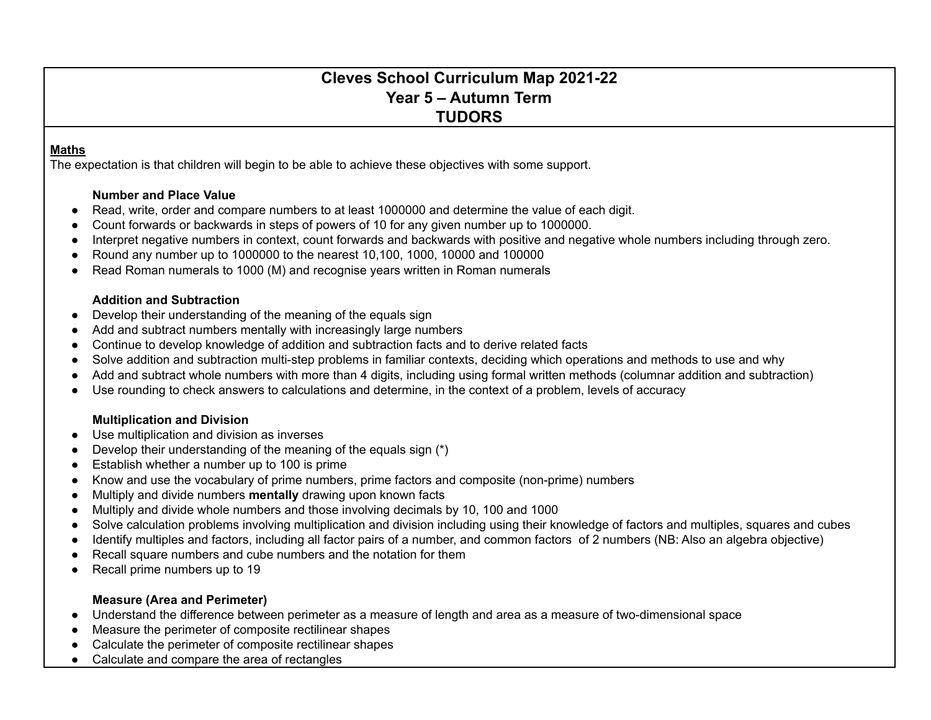# **Cleves School Curriculum Map 2021-22 Year 5 – Autumn Term TUDORS**

#### **Maths**

The expectation is that children will begin to be able to achieve these objectives with some support.

#### **Number and Place Value**

- Read, write, order and compare numbers to at least 1000000 and determine the value of each digit.
- Count forwards or backwards in steps of powers of 10 for any given number up to 1000000.
- Interpret negative numbers in context, count forwards and backwards with positive and negative whole numbers including through zero.
- Round any number up to 1000000 to the nearest 10,100, 1000, 10000 and 100000
- Read Roman numerals to 1000 (M) and recognise years written in Roman numerals

#### **Addition and Subtraction**

- Develop their understanding of the meaning of the equals sign
- Add and subtract numbers mentally with increasingly large numbers
- Continue to develop knowledge of addition and subtraction facts and to derive related facts
- Solve addition and subtraction multi-step problems in familiar contexts, deciding which operations and methods to use and why
- Add and subtract whole numbers with more than 4 digits, including using formal written methods (columnar addition and subtraction)
- Use rounding to check answers to calculations and determine, in the context of a problem, levels of accuracy

#### **Multiplication and Division**

- Use multiplication and division as inverses
- Develop their understanding of the meaning of the equals sign (\*)
- Establish whether a number up to 100 is prime
- Know and use the vocabulary of prime numbers, prime factors and composite (non-prime) numbers
- Multiply and divide numbers **mentally** drawing upon known facts
- Multiply and divide whole numbers and those involving decimals by 10, 100 and 1000
- Solve calculation problems involving multiplication and division including using their knowledge of factors and multiples, squares and cubes
- Identify multiples and factors, including all factor pairs of a number, and common factors of 2 numbers (NB: Also an algebra objective)
- Recall square numbers and cube numbers and the notation for them
- Recall prime numbers up to 19

#### **Measure (Area and Perimeter)**

- Understand the difference between perimeter as a measure of length and area as a measure of two-dimensional space
- Measure the perimeter of composite rectilinear shapes
- Calculate the perimeter of composite rectilinear shapes
- Calculate and compare the area of rectangles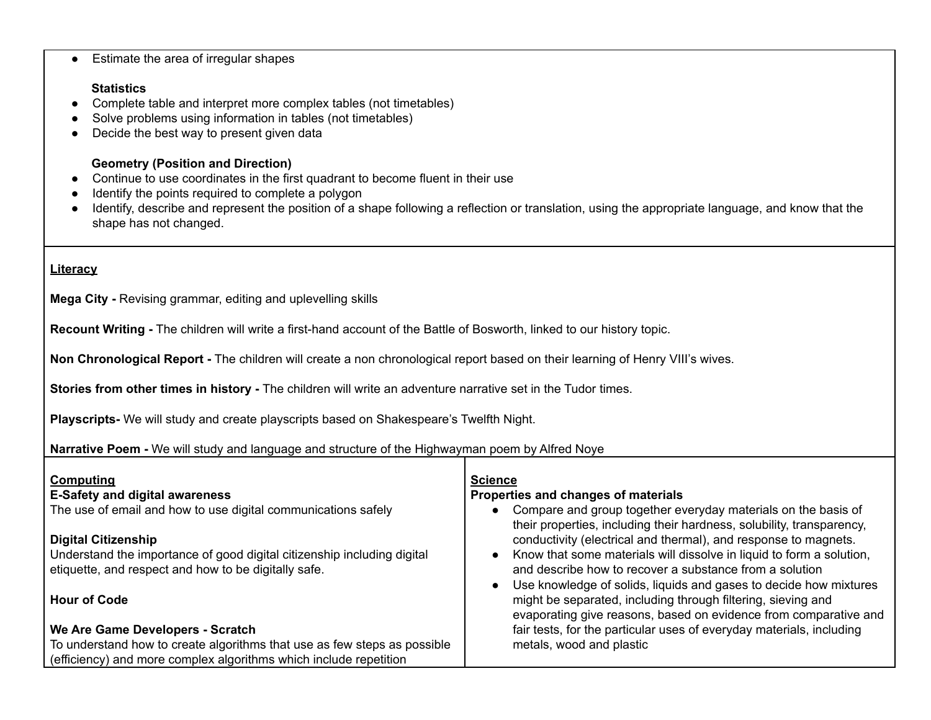| Identify the points required to complete a polygon<br>Identify, describe and represent the position of a shape following a reflection or translation, using the appropriate language, and know that the<br>shape has not changed.                                                                                                                                                                                                                                                                |                                                                                                                                                                                                                                                                                                                                                                                                                                                                                                                                                                                                                                                                                                                    |  |  |  |  |
|--------------------------------------------------------------------------------------------------------------------------------------------------------------------------------------------------------------------------------------------------------------------------------------------------------------------------------------------------------------------------------------------------------------------------------------------------------------------------------------------------|--------------------------------------------------------------------------------------------------------------------------------------------------------------------------------------------------------------------------------------------------------------------------------------------------------------------------------------------------------------------------------------------------------------------------------------------------------------------------------------------------------------------------------------------------------------------------------------------------------------------------------------------------------------------------------------------------------------------|--|--|--|--|
| Literacy                                                                                                                                                                                                                                                                                                                                                                                                                                                                                         |                                                                                                                                                                                                                                                                                                                                                                                                                                                                                                                                                                                                                                                                                                                    |  |  |  |  |
| Mega City - Revising grammar, editing and uplevelling skills                                                                                                                                                                                                                                                                                                                                                                                                                                     |                                                                                                                                                                                                                                                                                                                                                                                                                                                                                                                                                                                                                                                                                                                    |  |  |  |  |
| Recount Writing - The children will write a first-hand account of the Battle of Bosworth, linked to our history topic.                                                                                                                                                                                                                                                                                                                                                                           |                                                                                                                                                                                                                                                                                                                                                                                                                                                                                                                                                                                                                                                                                                                    |  |  |  |  |
| Non Chronological Report - The children will create a non chronological report based on their learning of Henry VIII's wives.                                                                                                                                                                                                                                                                                                                                                                    |                                                                                                                                                                                                                                                                                                                                                                                                                                                                                                                                                                                                                                                                                                                    |  |  |  |  |
| Stories from other times in history - The children will write an adventure narrative set in the Tudor times.                                                                                                                                                                                                                                                                                                                                                                                     |                                                                                                                                                                                                                                                                                                                                                                                                                                                                                                                                                                                                                                                                                                                    |  |  |  |  |
| Playscripts- We will study and create playscripts based on Shakespeare's Twelfth Night.                                                                                                                                                                                                                                                                                                                                                                                                          |                                                                                                                                                                                                                                                                                                                                                                                                                                                                                                                                                                                                                                                                                                                    |  |  |  |  |
| Narrative Poem - We will study and language and structure of the Highwayman poem by Alfred Noye                                                                                                                                                                                                                                                                                                                                                                                                  |                                                                                                                                                                                                                                                                                                                                                                                                                                                                                                                                                                                                                                                                                                                    |  |  |  |  |
| Computing<br><b>E-Safety and digital awareness</b><br>The use of email and how to use digital communications safely<br><b>Digital Citizenship</b><br>Understand the importance of good digital citizenship including digital<br>etiquette, and respect and how to be digitally safe.<br><b>Hour of Code</b><br>We Are Game Developers - Scratch<br>To understand how to create algorithms that use as few steps as possible<br>(efficiency) and more complex algorithms which include repetition | <b>Science</b><br>Properties and changes of materials<br>Compare and group together everyday materials on the basis of<br>their properties, including their hardness, solubility, transparency,<br>conductivity (electrical and thermal), and response to magnets.<br>Know that some materials will dissolve in liquid to form a solution,<br>and describe how to recover a substance from a solution<br>Use knowledge of solids, liquids and gases to decide how mixtures<br>might be separated, including through filtering, sieving and<br>evaporating give reasons, based on evidence from comparative and<br>fair tests, for the particular uses of everyday materials, including<br>metals, wood and plastic |  |  |  |  |

### ● Estimate the area of irregular shapes

#### **Statistics**

- Complete table and interpret more complex tables (not timetables)
- Solve problems using information in tables (not timetables)
- Decide the best way to present given data

## **Geometry (Position and Direction)**

- Continue to use coordinates in the first quadrant to become fluent in their use
-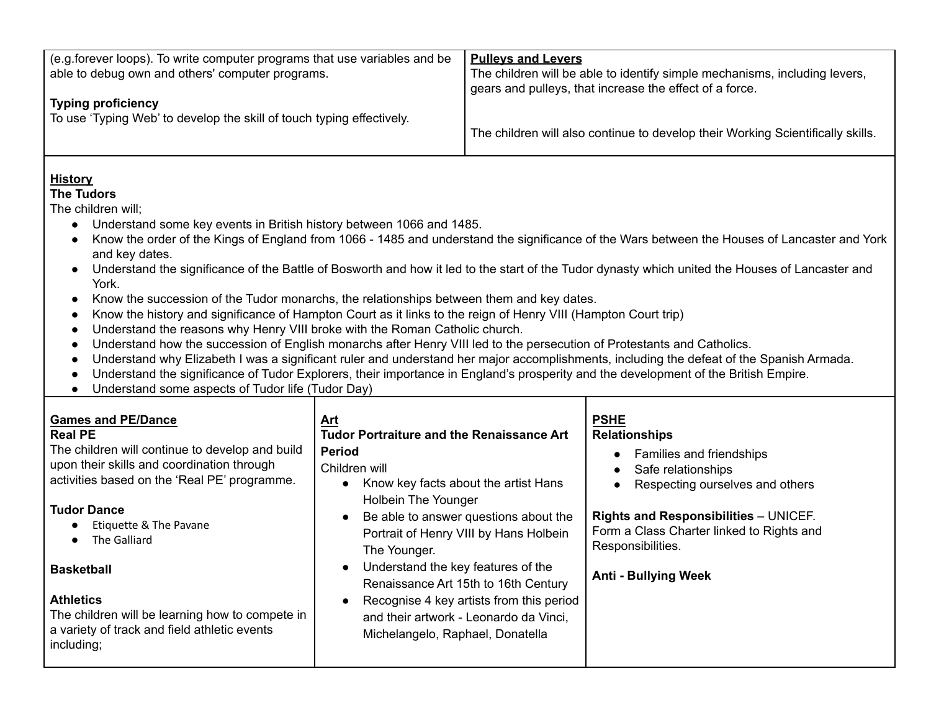| (e.g. forever loops). To write computer programs that use variables and be<br>able to debug own and others' computer programs.<br><b>Typing proficiency</b><br>To use 'Typing Web' to develop the skill of touch typing effectively.                                                                                                                                                                                                                                                                                                                                                                                                                                                                                                                                                                                                                                                                                                                                                                                                                                                                                                                                                                                                                                                                                                                 |                                                                                                                                                                                                                                                                 | <b>Pulleys and Levers</b>                                                                                                                                                                                     | The children will be able to identify simple mechanisms, including levers,<br>gears and pulleys, that increase the effect of a force.<br>The children will also continue to develop their Working Scientifically skills.                                                  |  |  |
|------------------------------------------------------------------------------------------------------------------------------------------------------------------------------------------------------------------------------------------------------------------------------------------------------------------------------------------------------------------------------------------------------------------------------------------------------------------------------------------------------------------------------------------------------------------------------------------------------------------------------------------------------------------------------------------------------------------------------------------------------------------------------------------------------------------------------------------------------------------------------------------------------------------------------------------------------------------------------------------------------------------------------------------------------------------------------------------------------------------------------------------------------------------------------------------------------------------------------------------------------------------------------------------------------------------------------------------------------|-----------------------------------------------------------------------------------------------------------------------------------------------------------------------------------------------------------------------------------------------------------------|---------------------------------------------------------------------------------------------------------------------------------------------------------------------------------------------------------------|---------------------------------------------------------------------------------------------------------------------------------------------------------------------------------------------------------------------------------------------------------------------------|--|--|
| <b>History</b><br><b>The Tudors</b><br>The children will;<br>Understand some key events in British history between 1066 and 1485.<br>$\bullet$<br>Know the order of the Kings of England from 1066 - 1485 and understand the significance of the Wars between the Houses of Lancaster and York<br>and key dates.<br>Understand the significance of the Battle of Bosworth and how it led to the start of the Tudor dynasty which united the Houses of Lancaster and<br>$\bullet$<br>York.<br>Know the succession of the Tudor monarchs, the relationships between them and key dates.<br>$\bullet$<br>Know the history and significance of Hampton Court as it links to the reign of Henry VIII (Hampton Court trip)<br>$\bullet$<br>Understand the reasons why Henry VIII broke with the Roman Catholic church.<br>$\bullet$<br>Understand how the succession of English monarchs after Henry VIII led to the persecution of Protestants and Catholics.<br>$\bullet$<br>Understand why Elizabeth I was a significant ruler and understand her major accomplishments, including the defeat of the Spanish Armada.<br>$\bullet$<br>Understand the significance of Tudor Explorers, their importance in England's prosperity and the development of the British Empire.<br>$\bullet$<br>Understand some aspects of Tudor life (Tudor Day)<br>$\bullet$ |                                                                                                                                                                                                                                                                 |                                                                                                                                                                                                               |                                                                                                                                                                                                                                                                           |  |  |
| <b>Games and PE/Dance</b><br><b>Real PE</b><br>The children will continue to develop and build<br>upon their skills and coordination through<br>activities based on the 'Real PE' programme.<br><b>Tudor Dance</b><br>Etiquette & The Pavane<br>The Galliard<br><b>Basketball</b><br><b>Athletics</b><br>The children will be learning how to compete in<br>a variety of track and field athletic events<br>including;                                                                                                                                                                                                                                                                                                                                                                                                                                                                                                                                                                                                                                                                                                                                                                                                                                                                                                                               | Art<br><b>Tudor Portraiture and the Renaissance Art</b><br><b>Period</b><br>Children will<br>Know key facts about the artist Hans<br>Holbein The Younger<br>The Younger.<br>Understand the key features of the<br>$\bullet$<br>Michelangelo, Raphael, Donatella | Be able to answer questions about the<br>Portrait of Henry VIII by Hans Holbein<br>Renaissance Art 15th to 16th Century<br>Recognise 4 key artists from this period<br>and their artwork - Leonardo da Vinci, | <b>PSHE</b><br><b>Relationships</b><br><b>Families and friendships</b><br>Safe relationships<br>Respecting ourselves and others<br>Rights and Responsibilities - UNICEF.<br>Form a Class Charter linked to Rights and<br>Responsibilities.<br><b>Anti - Bullying Week</b> |  |  |